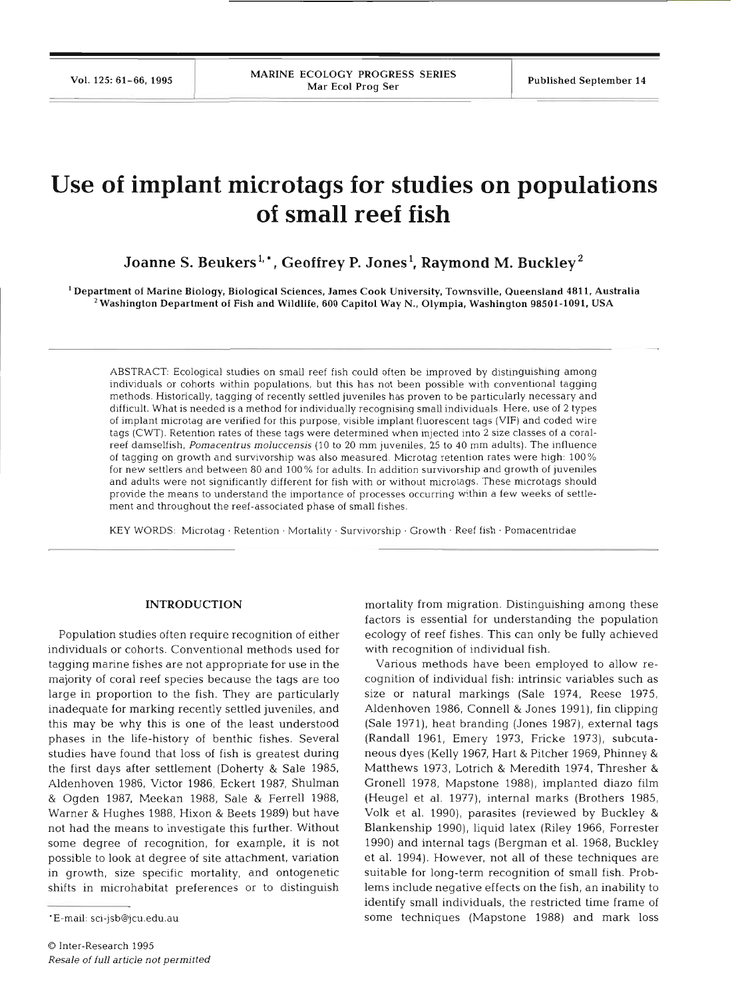# **Use of implant microtags for studies on populations of small reef fish**

Joanne S. Beukers<sup>1,\*</sup>, Geoffrey P. Jones<sup>1</sup>, Raymond M. Buckley<sup>2</sup>

'Department of Marine Biology, Biological Sciences. James Cook University. Townsville, Queensland **481** 1, Australia Washington Department of Fish and Wildlife. **600** Capitol Way N.. Olympia, Washington **98501-1091.** USA

ABSTRACT: Ecological studies on small reef fish could often be improved by distinguishing among individuals or cohorts within populations, but this has not been possible with conventional tagging methods. Historically, tagging of recently settled juveniles has proven to be particularly necessary and difficult. What is needed is a method for individually recognising small individuals. Here, use of 2 types of implant microtag are verified for this purpose, visible implant fluorescent tags **(VIF)** and coded wire tags **(CWT).** Retention rates of these tags were determined when injected into 2 size classes of a coralreef damselfish, Pomacentrus moluccensis (10 to 20 mm juveniles, **25** to 40 mm adults). The influence of tagging on growth and survivorship was also measured. Microtag retention rates were high: 100% for new settlers and between 80 and 100% for adults. In addition survivorship and growth of juveniles and adults were not significantly different for fish with or without microtags. These microtags should provide the means to understand the importance of processes occurring within a few weeks of settlement and throughout the reef-associated phase of small fishes.

KEY WORDS: Microtag · Retention · Mortality · Survivorship · Growth · Reef fish · Pomacentridae

#### **INTRODUCTIO**

Population studies often require recognition of either individuals or cohorts. Conventional methods used tagging marine fishes are not appropriate for use in the majority of coral reef species because the tags are too large in proportion to the fish. They are particularly inadequate for marking recently settled juveniles, and this may be why this is one of the least understood phases in the life-history of benthic fishes. Several studies have found that loss of fish is greatest during the first days after settlement (Doherty & Sale 1985, Aldenhoven 1986, Victor 1986, Eckert 1987, Shulman & Ogden 1987, Meekan 1988, Sale & Ferrell 1988, Warner & Hughes 1988, Hixon & Beets 1989) but have not had the means to investigate this further. Without some degree of recognition, for example, it is not possible to look at degree of site attachment, variation in growth, size specific mortality, and ontogenetic shifts in microhabitat preferences or to distinguish

mortality from migration. Distinguishing among these factors is essential for understanding the population ecology of reef fishes. This can only be fully achieved with recognition of individual fish.

Various methods have been employed to allow recognition of individual fish: intrinsic variables such as size or natural markings (Sale 1974, Reese 1975, Aldenhoven 1986, Connell & Jones 1991), fin clipping (Sale 1971), heat branding (Jones 1987), external tags (Randall 1961, Emery 1973, Fricke 1973), subcutaneous dyes (Kelly 1967, Hart & Pitcher 1969, Phinney & Matthews 1973, Lotrich & Meredith 1974, Thresher & Gronell 1978, Mapstone 1988), implanted diazo film (Heugel et al. 1977), internal marks (Brothers 1985, Volk et al. 1990), parasites (reviewed by Buckley & Blankenship 1990), liquid latex (Riley 1966, Forrester 1990) and internal tags (Bergman et al. 1968, Buckley et al. 1994). However, not all of these techniques are suitable for long-term recognition of small fish. Problems include negative effects on the fish, an inability to identify small individuals, the restricted time frame of some techniques (Mapstone 1988) and mark loss

<sup>&#</sup>x27;E-mail: sci-jsb@jcu.edu.au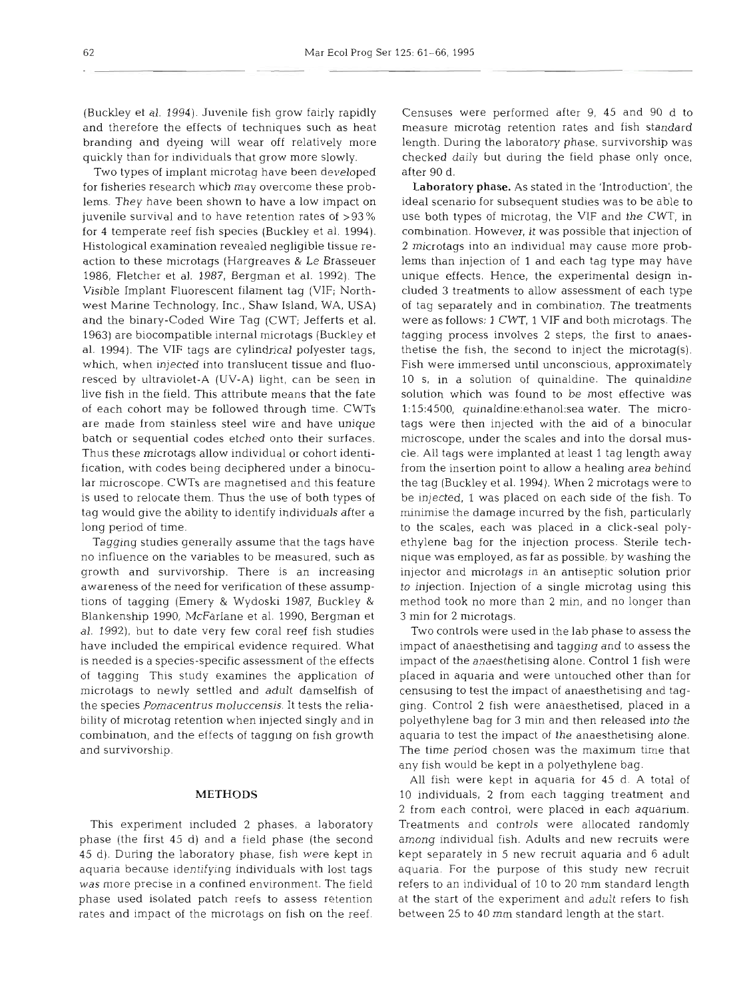(Buckley et al. 1994). Juvenile fish grow fairly rapidly and therefore the effects of techniques such as heat branding and dyeing will wear off relatively more quickly than for individuals that grow more slowly.

Two types of implant microtag have been developed for fisheries research which may overcome these problems. They have been shown to have a low impact on juvenile survival and to have retention rates of >93 % for 4 temperate reef fish species (Buckley et al. 1994). Histological examination revealed negligible tissue reaction to these microtags (Hargreaves & Le Brasseuer 1986, Fletcher et al. 1987, Bergman et al. 1992). The Visible Implant Fluorescent filament tag (VIF; Northwest Marine Technology, Inc., Shaw Island, WA, USA) and the binary-Coded Wire Tag (CWT; Jefferts et al. 1963) are biocompatible internal microtags (Buckley et al. 1994). The VIF tags are cylindrical polyester tags, which, when injected into translucent tissue and fluoresced by ultraviolet-A (UV-A) light, can be seen in live fish in the field. This attribute means that the fate of each cohort may be followed through time. CWTs are made from stainless steel wire and have unique batch or sequential codes etched onto their surfaces. Thus these microtags allow individual or cohort identification, with codes being deciphered under a binocular microscope. CWTs are magnetised and this feature is used to relocate them. Thus the use of both types of tag would give the ability to identify individuals after a long period of time.

Tagging studies generally assume that the tags have no influence on the variables to be measured, such as growth and survivorship. There is an increasing awareness of the need for verification of these assumptions of tagging (Emery & Wydoski 1987, Buckley & Blankenship 1990, McFarlane et al. 1990, Bergman et al. 1992), but to date very few coral reef fish studies have included the empirical evidence required. What is needed is a species-specific assessment of the effects of tagging This study examines the application of microtags to newly settled and adult damselfish of the species *Pomacentrus moluccensis.* It tests the reliability of microtag retention when injected singly and in combination, and the effects of tagging on fish growth and survivorship.

# **METHODS**

This experiment included 2 phases, a laboratory phase (the first 45 d) and a field phase (the second 45 d). During the laboratory phase, fish were kept in aquaria because identifying individuals with lost tags was more precise in a confined environment. The field phase used isolated patch reefs to assess retention rates and impact of the microtags on fish on the reef. Censuses were performed after 9, 45 and 90 d to measure microtag retention rates and fish standard length. During the laboratory phase, survivorship was checked daily but during the field phase only once, after 90 d.

Laboratory **phase.** As stated in the 'Introduction', the ideal scenario for subsequent studies was to be able to use both types of microtag, the VIF and the CWT, in combination. However, it was possible that injection of 2 microtags into an individual may cause more problems than injection of 1 and each tag type may have unique effects. Hence, the experimental design included **3** treatments to allow assessment of each type of tag separately and in combination. The treatments were as follows: 1 CWT, 1 VIF and both microtags. The tagging process involves **2** steps, the first to anaesthetise the fish, the second to inject the microtag(s). Fish were immersed until unconscious, approximately 10 S, in a solution of quinaldine. The quinaldine solution which was found to be most effective was 1:15:4500, quina1dine:ethanol:sea water. The microtags were then injected with the aid of a binocular microscope, under the scales and into the dorsal muscle. All tags were implanted at least 1 tag length away from the insertion point to allow a healing area behind the tag (Buckley et al. 1994). When 2 microtags were to be injected, 1 was placed on each side of the fish. To minimise the damage incurred by the fish, particularly to the scales, each was placed in a click-seal polyethylene bag for the injection process. Sterile technique was employed, as far as possible, by washing the injector and microtags in an antiseptic solution prior to injection. Injection of a single microtag using this method took no more than 2 min, and no longer than **3** min for **2** microtags.

Two controls were used in the lab phase to assess the impact of anaesthetising and tagging and to assess the impact of the anaesthetising alone. Control 1 fish were placed in aquaria and were untouched other than for censusing to test the impact of anaesthetising and tagging. Control 2 fish were anaesthetised, placed in a polyethylene bag for 3 min and then released into the aquaria to test the impact of the anaesthetising alone. The time period chosen was the maximum time that any fish would be kept in a polyethylene bag.

All fish were kept in aquaria for 45 d. A total of 10 individuals, 2 from each tagging treatment and 2 from each control, were placed in each aquarium. Treatments and controls were allocated randomly among individual fish. Adults and new recruits were kept separately in 5 new recruit aquaria and 6 adult aquaria. For the purpose of this study new recruit refers to an individual of 10 to 20 mm standard length at the start of the experiment and adult refers to fish between 25 to 40 mm standard length at the start.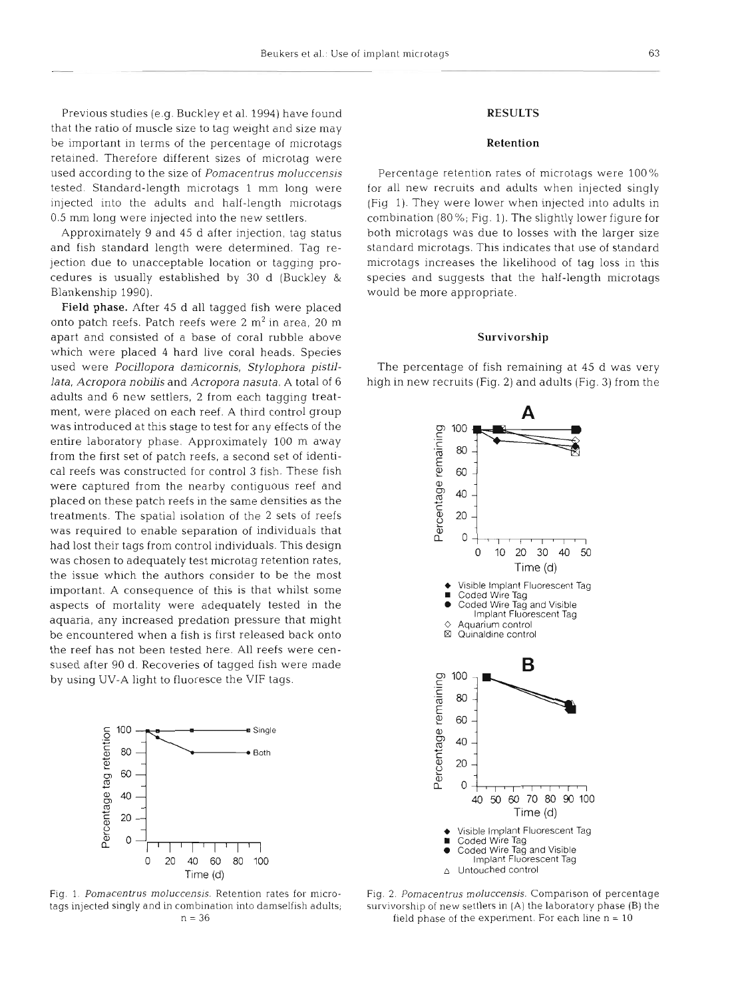Previous studies (e.g. Buckley et al. 1994) have found that the ratio of muscle size to tag weight and size may be important in terms of the percentage of microtags retained. Therefore different sizes of microtag were used according to the size of Pomacentrus moluccensis tested. Standard-length microtags 1 mm long were injected into the adults and half-length microtags 0.5 mm long were injected into the new settlers.

Approximately 9 and 45 d after injection, tag status and fish standard length were determined. Tag rejection due to unacceptable location or tagging procedures is usually established by 30 d (Buckley & Blankenship 1990).

Field phase. After 45 d all tagged fish were placed onto patch reefs. Patch reefs were  $2 \text{ m}^2$  in area,  $20 \text{ m}$ apart and consisted of a base of coral rubble above which were placed 4 hard live coral heads. Species used were Pocillopora damicornis, Stylophora pistillata, Acropora nobilis and Acropora nasuta. A total of 6 adults and 6 new settlers, 2 from each tagging treatment, were placed on each reef. A third control group was introduced at this stage to test for any effects of the entire laboratory phase. Approximately 100 m away from the first set of patch reefs, a second set of identical reefs was constructed for control 3 fish. These fish were captured from the nearby contiguous reef and placed on these patch reefs in the same densities as the treatments. The spatial isolation of the 2 sets of reefs was required to enable separation of individuals that had lost their tags from control individuals. This design was chosen to adequately test microtag retention rates, the issue which the authors consider to be the most important. A consequence of this is that whilst some aspects of mortality were adequately tested in the aquaria, any increased predation pressure that might be encountered when a fish is first released back onto the reef has not been tested here. All reefs were censused after 90 d. Recoveries of tagged fish were made by using UV-A light to fluoresce the VIF tags.



Fig. 1. Pomacentrus moluccensis. Retention rates for microtags injected singly and in combination into damselfish adults; <sup>n</sup>= **36** 

#### RESULTS

#### Retention

Percentage retention rates of microtags were 100% for all new recruits and adults when injected singly (Fig 1). They were lower when injected into adults in combination (80 %; Fig. 1). The slightly lower figure for both microtags was due to losses with the larger size standard microtags. This indicates that use of standard microtags increases the likelihood of tag loss in this species and suggests that the half-length microtags would be more appropriate.

## Survivorship

The percentage of fish remaining at 45 d was very high in new recruits (Fig. 2) and adults (Fig. **3)** from the



Fig. 2. Pomacentrus moluccensis. Comparison of percentage survivorship of new settlers in (A) the laboratory phase (B) the field phase of the experiment. For each line  $n = 10$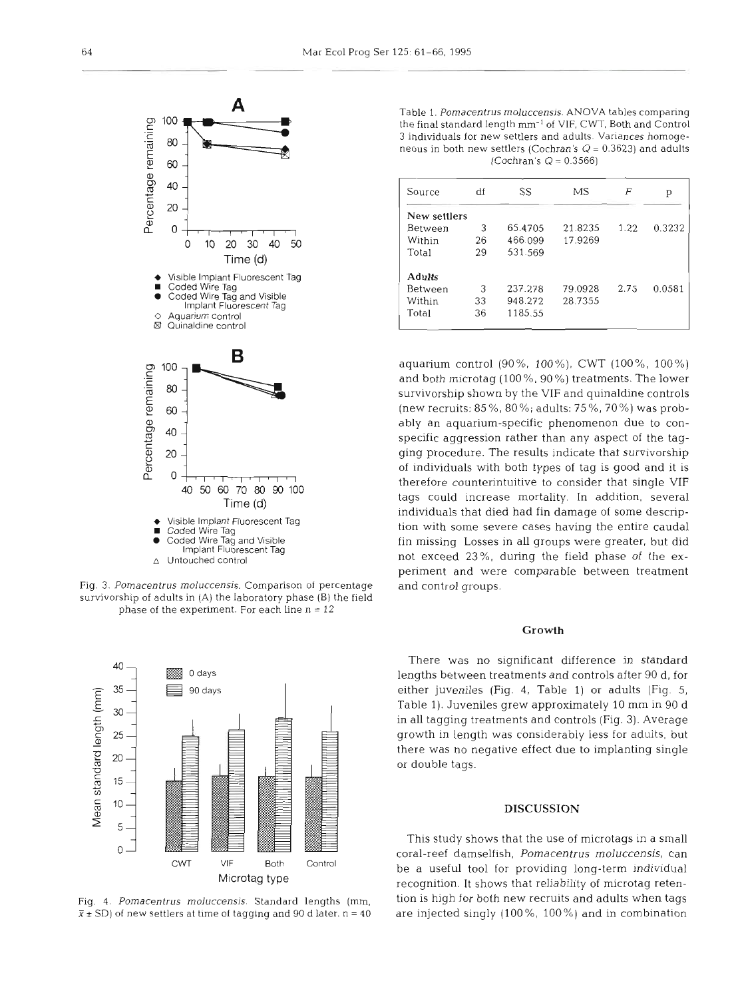

Fig. 3. *Pornacentrus rnoluccensis.* Comparison of percentage survivorship of adults in (A) the laboratory phase (B) the field phase of the experiment. For each line  $n = 12$ 



Table 1. *Pornacentrus rnoluccensis.* **ANOVA** tables comparing the final standard length **mm-'** *of* VIF, *CWT,* Both and Control 3 individuals for new settlers and adults. Variances homogeneous in both new settlers (Cochran's  $Q = 0.3623$ ) and adults (Cochran's  $Q = 0.3566$ )

| Source         | df | SS      | МS      | F    | р      |
|----------------|----|---------|---------|------|--------|
| New settlers   |    |         |         |      |        |
|                |    |         |         |      |        |
| Between        | 3  | 65.4705 | 21.8235 | 1.22 | 0.3232 |
| Within         | 26 | 466.099 | 17.9269 |      |        |
| Total          | 29 | 531.569 |         |      |        |
| <b>Adults</b>  |    |         |         |      |        |
| <b>Between</b> | 3  | 237.278 | 79.0928 | 2.75 | 0.0581 |
| Within         | 33 | 948.272 | 28.7355 |      |        |
| Total          | 36 | 1185.55 |         |      |        |
|                |    |         |         |      |        |

aquarium control (go%, TOO%), CWT (loo%, 100%) and both microtag (100 %, 90%) treatments. The lower survivorship shown by the VIF and quinaldine controls (new recruits: 85%, 80%; adults: 75%, 70%) was probably an aquarium-specific phenomenon due to conspecific aggression rather than any aspect of the tagging procedure. The results indicate that survivorship of individuals with both types of tag is good and it is therefore counterintuitive to consider that single VIF tags could increase mortality. In addition, several individuals that died had fin damage of some description with some severe cases having the entire caudal fin missing Losses in all groups were greater, but did not exceed **23%,** during the field phase of the experiment and were comparable between treatment and control groups.

# **Growth**

There was no significant difference in standard lengths between treatments and controls after 90 d, for either juveniles (Fig. 4, Table 1) or adults (Fig. 5, Table 1). Juveniles grew approximately 10 mm in 90 d in all tagging treatments and controls (Fig. **3).** Average growth in length was considerably less for adults, but there was no negative effect due to implanting single or double tags.

This study shows that the use of microtags in a small coral-reef damselfish, Pomacentrus **rnoluccensis,** can CWT VIF Both Control be a useful tool for providing long-term individual Microtag type recognition. It shows that reliabhty of microtag reten-Fig. 4. *Pornacentrus rnoluccensis.* Standard lengths *(mm,* tion is high for both new recruits and adults when tags  $\bar{x}$   $\pm$  SD) of new settlers at time of tagging and 90 d later. n = 40 are injected singly (100%, 100%) and in combination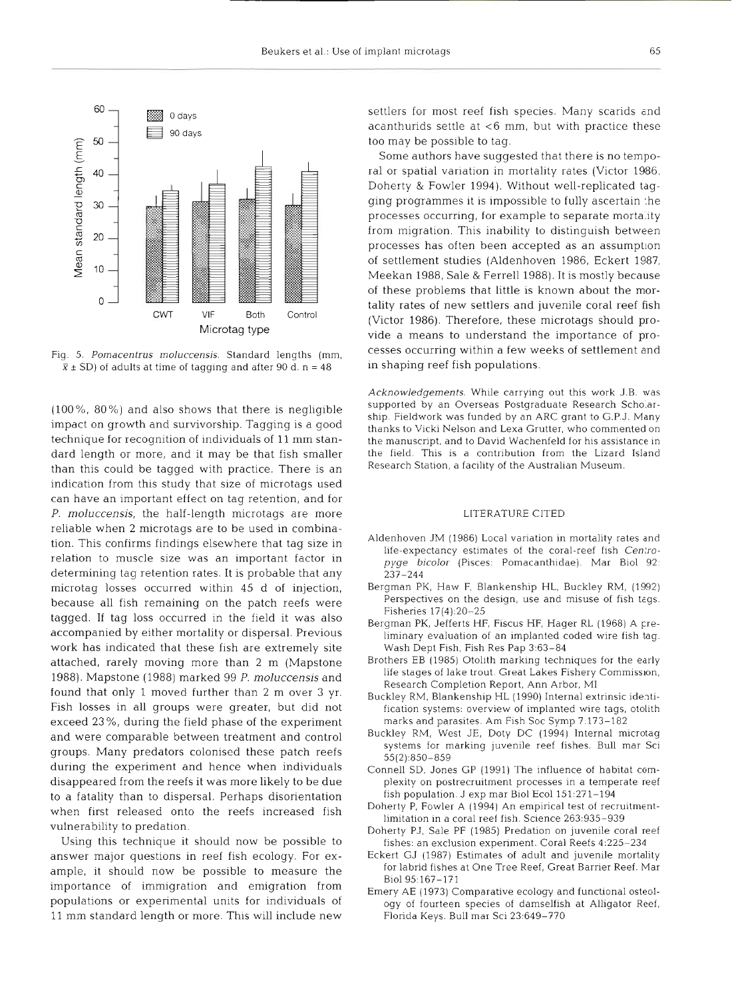

Fig. 5. Pomacentrus moluccensis. Standard lengths (mm,  $\bar{x} \pm SD$ ) of adults at time of tagging and after 90 d. n = 48

 $(100\% , 80\%)$  and also shows that there is negligible impact on growth and survivorship. Tagging is a good technique for recognition of individuals of 11 mm standard length or more, and it may be that fish smaller than this could be tagged with practice. There is an indication from this study that size of microtags used can have an important effect on tag retention, and for P. moluccensis, the half-length microtags are more reliable when 2 microtags are to be used in combination. This confirms findings elsewhere that tag size in relation to muscle size was an important factor in determining tag retention rates. It is probable that any microtag losses occurred within 45 d of injection, because all fish remaining on the patch reefs were tagged. If tag loss occurred in the field it was also accompanied by either mortality or dispersal. Previous work has indicated that these fish are extremely site attached, rarely moving more than 2 m (Mapstone 1988). Mapstone (1988) marked 99 P. moluccensis and found that only 1 moved further than 2 m over 3 yr. Fish losses in all groups were greater, but did not exceed 23 %, during the field phase of the experiment and were comparable between treatment and control groups. Many predators colonised these patch reefs during the experiment and hence when individuals disappeared from the reefs it was more likely to be due to a fatality than to dispersal. Perhaps disorientation when first released onto the reefs increased f vulnerability to predation.

Using this technique it should now be possible to answer major questions in reef fish ecology. For example, it should now be possible to measure the importance of immigration and emigration from populations or experimental units for individuals of 11 mm standard length or more. This will include new

settlers for most reef fish species. Many scarids and acanthurids settle at  $<$ 6 mm, but with practice these too may be possible to tag.

Some authors have suggested that there is no temporal or spatial variation in mortality rates (Victor 1986, Doherty & Fowler 1994). Without well-replicated tagging programmes it is impossible to fully ascertain the processes occurring, for example to separate mortality from migration. This inability to distinguish between processes has often been accepted as an assumption of settlement studies (Aldenhoven 1986, Eckert 1987, Meekan 1988, Sale & Ferrell 1988). It is mostly because of these problems that little is known about the mortality rates of new settlers and juvenile coral reef fish (Victor 1986). Therefore, these microtags should provide a means to understand the importance of processes occurring within a few weeks of settlement and in shaping reef fish populations.

Acknowledgements. Whlle carrying out this work J.B. was supported by an Overseas Postgraduate Research Scholarship. Fieldwork was funded by an ARC grant to G.P.J. Many thanks to Vicki Nelson and Lexa Grutter, who commented on the manuscript, and to David Wachenfeld for his assistance in the field. This is a contribution from the Lizard Isla Research Station, a facility of the Australian Museum.

### LITERATURE ClTED

- Aldenhoven JM (1986) Local variation in mortality rates and life-expectancy estimates of the coral-reef fish Centropyge bicolor (Pisces: Pomacanthidae). Mar Biol 92: 237-244
- Bergman PK, Haw F, Blankenship HL, Buckley KM, (1992) Perspectives on the design, use and misuse of fish tags. Fisheries 17(4):20-25
- Bergman PK, Jefferts HF, Fiscus HF, Hager RL (1968) A preliminary evaluation of an implanted coded wire fish tag. Wash Dept Fish, Fish Res Pap 3:63-84
- Brothers EB (1985) Otolith marking techniques for the early life stages of lake trout. Great Lakes Fishery Commission, Research Completion Report, Ann Arbor, M1
- Buckley RM. Blankenshlp HL (1990) Internal extrinsic identification systems: overview of implanted mre tags, otolith marks and parasites. Am Fish Soc Symp 7.173-182
- Buckley RM, West JE, Doty DC (1994) Internal microtag systems for marking juvenile reef fishes. Bull mar Sci 55(2)-850-859
- Connell SD, Jones GP (1991) The influence of habitat complexity on postrecruitment processes in a temperate reef fish population J exp mar Biol Ecol 151:271-194
- Doherty P, Fowler A (1994) An empirical test of recrultmentlimitation in a coral reef fish. Science 263:935–
- Doherty PJ, Sale PF (1985) Predation on juvenile coral reef fishes: an exclusion expenment. Coral Reefs 4:225-234
- Eckert GJ (1987) Estimates of adult and juvenile mortality for labrid fishes at One Tree Reef, Great Barrier Reef. Mar Biol 95:167–
- Emery AE (1973) Comparative ecology and functional osteology of fourteen species of damselfish at Alligator Reef, Florida Keys. Bull mar SCI 23.649-770